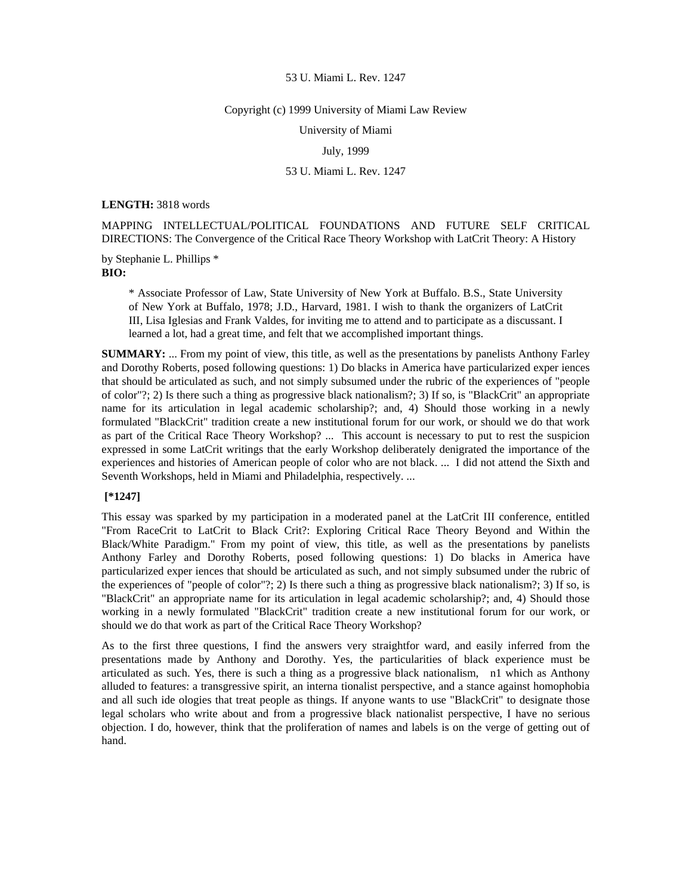#### Copyright (c) 1999 University of Miami Law Review

University of Miami

July, 1999

# 53 U. Miami L. Rev. 1247

**LENGTH:** 3818 words

MAPPING INTELLECTUAL/POLITICAL FOUNDATIONS AND FUTURE SELF CRITICAL DIRECTIONS: The Convergence of the Critical Race Theory Workshop with LatCrit Theory: A History

by Stephanie L. Phillips \* **BIO:** 

> \* Associate Professor of Law, State University of New York at Buffalo. B.S., State University of New York at Buffalo, 1978; J.D., Harvard, 1981. I wish to thank the organizers of LatCrit III, Lisa Iglesias and Frank Valdes, for inviting me to attend and to participate as a discussant. I learned a lot, had a great time, and felt that we accomplished important things.

**SUMMARY:** ... From my point of view, this title, as well as the presentations by panelists Anthony Farley and Dorothy Roberts, posed following questions: 1) Do blacks in America have particularized exper iences that should be articulated as such, and not simply subsumed under the rubric of the experiences of "people of color"?; 2) Is there such a thing as progressive black nationalism?; 3) If so, is "BlackCrit" an appropriate name for its articulation in legal academic scholarship?; and, 4) Should those working in a newly formulated "BlackCrit" tradition create a new institutional forum for our work, or should we do that work as part of the Critical Race Theory Workshop? ... This account is necessary to put to rest the suspicion expressed in some LatCrit writings that the early Workshop deliberately denigrated the importance of the experiences and histories of American people of color who are not black. ... I did not attend the Sixth and Seventh Workshops, held in Miami and Philadelphia, respectively. ...

# **[\*1247]**

This essay was sparked by my participation in a moderated panel at the LatCrit III conference, entitled "From RaceCrit to LatCrit to Black Crit?: Exploring Critical Race Theory Beyond and Within the Black/White Paradigm." From my point of view, this title, as well as the presentations by panelists Anthony Farley and Dorothy Roberts, posed following questions: 1) Do blacks in America have particularized exper iences that should be articulated as such, and not simply subsumed under the rubric of the experiences of "people of color"?; 2) Is there such a thing as progressive black nationalism?; 3) If so, is "BlackCrit" an appropriate name for its articulation in legal academic scholarship?; and, 4) Should those working in a newly formulated "BlackCrit" tradition create a new institutional forum for our work, or should we do that work as part of the Critical Race Theory Workshop?

As to the first three questions, I find the answers very straightfor ward, and easily inferred from the presentations made by Anthony and Dorothy. Yes, the particularities of black experience must be articulated as such. Yes, there is such a thing as a progressive black nationalism, n1 which as Anthony alluded to features: a transgressive spirit, an interna tionalist perspective, and a stance against homophobia and all such ide ologies that treat people as things. If anyone wants to use "BlackCrit" to designate those legal scholars who write about and from a progressive black nationalist perspective, I have no serious objection. I do, however, think that the proliferation of names and labels is on the verge of getting out of hand.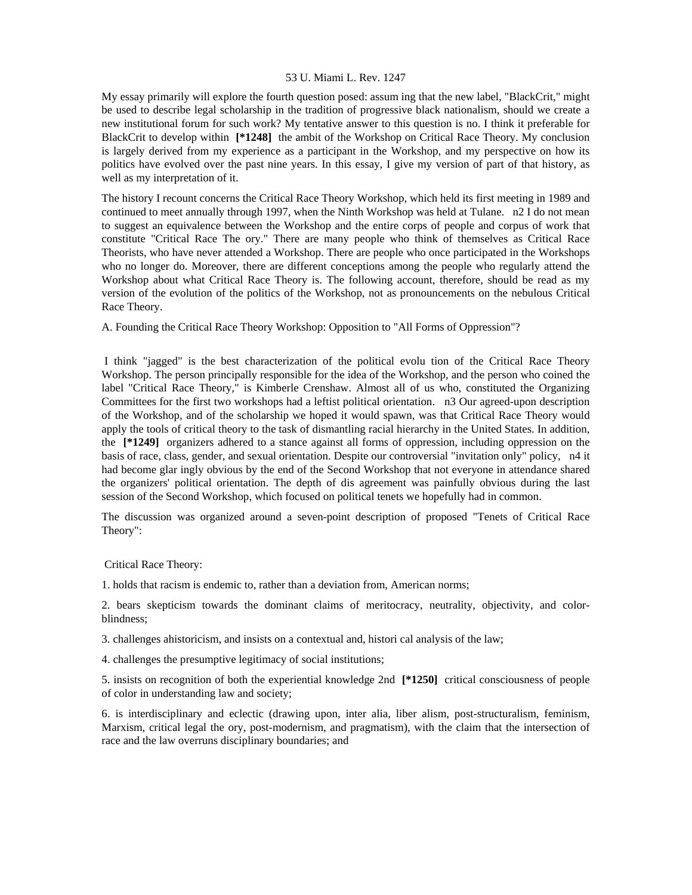My essay primarily will explore the fourth question posed: assum ing that the new label, "BlackCrit," might be used to describe legal scholarship in the tradition of progressive black nationalism, should we create a new institutional forum for such work? My tentative answer to this question is no. I think it preferable for BlackCrit to develop within **[\*1248]** the ambit of the Workshop on Critical Race Theory. My conclusion is largely derived from my experience as a participant in the Workshop, and my perspective on how its politics have evolved over the past nine years. In this essay, I give my version of part of that history, as well as my interpretation of it.

The history I recount concerns the Critical Race Theory Workshop, which held its first meeting in 1989 and continued to meet annually through 1997, when the Ninth Workshop was held at Tulane. n2 I do not mean to suggest an equivalence between the Workshop and the entire corps of people and corpus of work that constitute "Critical Race The ory." There are many people who think of themselves as Critical Race Theorists, who have never attended a Workshop. There are people who once participated in the Workshops who no longer do. Moreover, there are different conceptions among the people who regularly attend the Workshop about what Critical Race Theory is. The following account, therefore, should be read as my version of the evolution of the politics of the Workshop, not as pronouncements on the nebulous Critical Race Theory.

A. Founding the Critical Race Theory Workshop: Opposition to "All Forms of Oppression"?

 I think "jagged" is the best characterization of the political evolu tion of the Critical Race Theory Workshop. The person principally responsible for the idea of the Workshop, and the person who coined the label "Critical Race Theory," is Kimberle Crenshaw. Almost all of us who, constituted the Organizing Committees for the first two workshops had a leftist political orientation. n3 Our agreed-upon description of the Workshop, and of the scholarship we hoped it would spawn, was that Critical Race Theory would apply the tools of critical theory to the task of dismantling racial hierarchy in the United States. In addition, the **[\*1249]** organizers adhered to a stance against all forms of oppression, including oppression on the basis of race, class, gender, and sexual orientation. Despite our controversial "invitation only" policy, n4 it had become glar ingly obvious by the end of the Second Workshop that not everyone in attendance shared the organizers' political orientation. The depth of dis agreement was painfully obvious during the last session of the Second Workshop, which focused on political tenets we hopefully had in common.

The discussion was organized around a seven-point description of proposed "Tenets of Critical Race Theory":

Critical Race Theory:

1. holds that racism is endemic to, rather than a deviation from, American norms;

2. bears skepticism towards the dominant claims of meritocracy, neutrality, objectivity, and colorblindness;

3. challenges ahistoricism, and insists on a contextual and, histori cal analysis of the law;

4. challenges the presumptive legitimacy of social institutions;

5. insists on recognition of both the experiential knowledge 2nd **[\*1250]** critical consciousness of people of color in understanding law and society;

6. is interdisciplinary and eclectic (drawing upon, inter alia, liber alism, post-structuralism, feminism, Marxism, critical legal the ory, post-modernism, and pragmatism), with the claim that the intersection of race and the law overruns disciplinary boundaries; and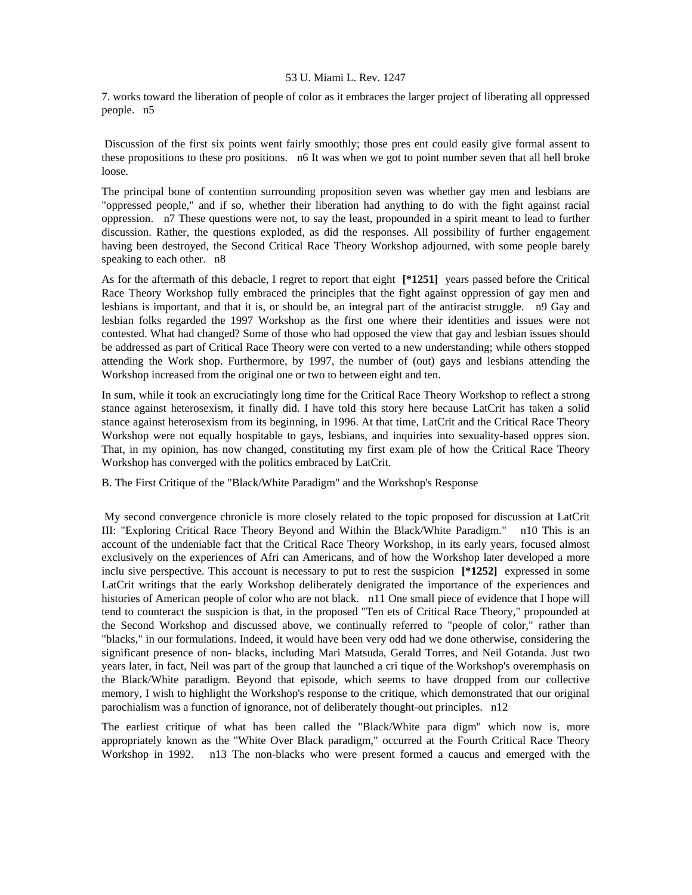7. works toward the liberation of people of color as it embraces the larger project of liberating all oppressed people. n5

 Discussion of the first six points went fairly smoothly; those pres ent could easily give formal assent to these propositions to these pro positions. n6 It was when we got to point number seven that all hell broke loose.

The principal bone of contention surrounding proposition seven was whether gay men and lesbians are "oppressed people," and if so, whether their liberation had anything to do with the fight against racial oppression. n7 These questions were not, to say the least, propounded in a spirit meant to lead to further discussion. Rather, the questions exploded, as did the responses. All possibility of further engagement having been destroyed, the Second Critical Race Theory Workshop adjourned, with some people barely speaking to each other. n8

As for the aftermath of this debacle, I regret to report that eight **[\*1251]** years passed before the Critical Race Theory Workshop fully embraced the principles that the fight against oppression of gay men and lesbians is important, and that it is, or should be, an integral part of the antiracist struggle. n9 Gay and lesbian folks regarded the 1997 Workshop as the first one where their identities and issues were not contested. What had changed? Some of those who had opposed the view that gay and lesbian issues should be addressed as part of Critical Race Theory were con verted to a new understanding; while others stopped attending the Work shop. Furthermore, by 1997, the number of (out) gays and lesbians attending the Workshop increased from the original one or two to between eight and ten.

In sum, while it took an excruciatingly long time for the Critical Race Theory Workshop to reflect a strong stance against heterosexism, it finally did. I have told this story here because LatCrit has taken a solid stance against heterosexism from its beginning, in 1996. At that time, LatCrit and the Critical Race Theory Workshop were not equally hospitable to gays, lesbians, and inquiries into sexuality-based oppres sion. That, in my opinion, has now changed, constituting my first exam ple of how the Critical Race Theory Workshop has converged with the politics embraced by LatCrit.

B. The First Critique of the "Black/White Paradigm" and the Workshop's Response

 My second convergence chronicle is more closely related to the topic proposed for discussion at LatCrit III: "Exploring Critical Race Theory Beyond and Within the Black/White Paradigm." n10 This is an account of the undeniable fact that the Critical Race Theory Workshop, in its early years, focused almost exclusively on the experiences of Afri can Americans, and of how the Workshop later developed a more inclu sive perspective. This account is necessary to put to rest the suspicion **[\*1252]** expressed in some LatCrit writings that the early Workshop deliberately denigrated the importance of the experiences and histories of American people of color who are not black. n11 One small piece of evidence that I hope will tend to counteract the suspicion is that, in the proposed "Ten ets of Critical Race Theory," propounded at the Second Workshop and discussed above, we continually referred to "people of color," rather than "blacks," in our formulations. Indeed, it would have been very odd had we done otherwise, considering the significant presence of non- blacks, including Mari Matsuda, Gerald Torres, and Neil Gotanda. Just two years later, in fact, Neil was part of the group that launched a cri tique of the Workshop's overemphasis on the Black/White paradigm. Beyond that episode, which seems to have dropped from our collective memory, I wish to highlight the Workshop's response to the critique, which demonstrated that our original parochialism was a function of ignorance, not of deliberately thought-out principles. n12

The earliest critique of what has been called the "Black/White para digm" which now is, more appropriately known as the "White Over Black paradigm," occurred at the Fourth Critical Race Theory Workshop in 1992. n13 The non-blacks who were present formed a caucus and emerged with the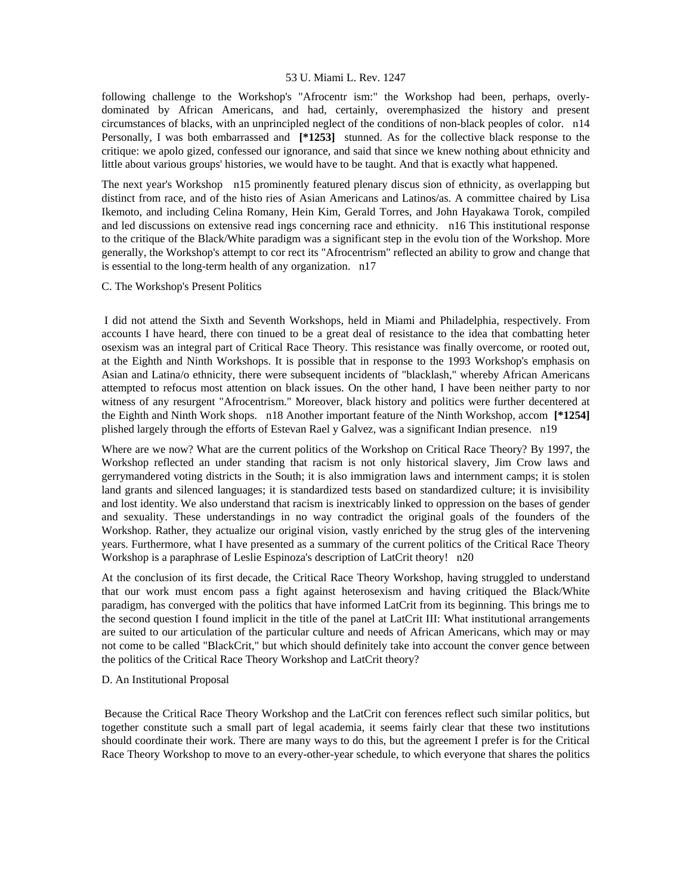following challenge to the Workshop's "Afrocentr ism:" the Workshop had been, perhaps, overlydominated by African Americans, and had, certainly, overemphasized the history and present circumstances of blacks, with an unprincipled neglect of the conditions of non-black peoples of color. n14 Personally, I was both embarrassed and **[\*1253]** stunned. As for the collective black response to the critique: we apolo gized, confessed our ignorance, and said that since we knew nothing about ethnicity and little about various groups' histories, we would have to be taught. And that is exactly what happened.

The next year's Workshop n15 prominently featured plenary discus sion of ethnicity, as overlapping but distinct from race, and of the histo ries of Asian Americans and Latinos/as. A committee chaired by Lisa Ikemoto, and including Celina Romany, Hein Kim, Gerald Torres, and John Hayakawa Torok, compiled and led discussions on extensive read ings concerning race and ethnicity. n16 This institutional response to the critique of the Black/White paradigm was a significant step in the evolu tion of the Workshop. More generally, the Workshop's attempt to cor rect its "Afrocentrism" reflected an ability to grow and change that is essential to the long-term health of any organization. n17

# C. The Workshop's Present Politics

 I did not attend the Sixth and Seventh Workshops, held in Miami and Philadelphia, respectively. From accounts I have heard, there con tinued to be a great deal of resistance to the idea that combatting heter osexism was an integral part of Critical Race Theory. This resistance was finally overcome, or rooted out, at the Eighth and Ninth Workshops. It is possible that in response to the 1993 Workshop's emphasis on Asian and Latina/o ethnicity, there were subsequent incidents of "blacklash," whereby African Americans attempted to refocus most attention on black issues. On the other hand, I have been neither party to nor witness of any resurgent "Afrocentrism." Moreover, black history and politics were further decentered at the Eighth and Ninth Work shops. n18 Another important feature of the Ninth Workshop, accom **[\*1254]**  plished largely through the efforts of Estevan Rael y Galvez, was a significant Indian presence. n19

Where are we now? What are the current politics of the Workshop on Critical Race Theory? By 1997, the Workshop reflected an under standing that racism is not only historical slavery, Jim Crow laws and gerrymandered voting districts in the South; it is also immigration laws and internment camps; it is stolen land grants and silenced languages; it is standardized tests based on standardized culture; it is invisibility and lost identity. We also understand that racism is inextricably linked to oppression on the bases of gender and sexuality. These understandings in no way contradict the original goals of the founders of the Workshop. Rather, they actualize our original vision, vastly enriched by the strug gles of the intervening years. Furthermore, what I have presented as a summary of the current politics of the Critical Race Theory Workshop is a paraphrase of Leslie Espinoza's description of LatCrit theory! n20

At the conclusion of its first decade, the Critical Race Theory Workshop, having struggled to understand that our work must encom pass a fight against heterosexism and having critiqued the Black/White paradigm, has converged with the politics that have informed LatCrit from its beginning. This brings me to the second question I found implicit in the title of the panel at LatCrit III: What institutional arrangements are suited to our articulation of the particular culture and needs of African Americans, which may or may not come to be called "BlackCrit," but which should definitely take into account the conver gence between the politics of the Critical Race Theory Workshop and LatCrit theory?

## D. An Institutional Proposal

 Because the Critical Race Theory Workshop and the LatCrit con ferences reflect such similar politics, but together constitute such a small part of legal academia, it seems fairly clear that these two institutions should coordinate their work. There are many ways to do this, but the agreement I prefer is for the Critical Race Theory Workshop to move to an every-other-year schedule, to which everyone that shares the politics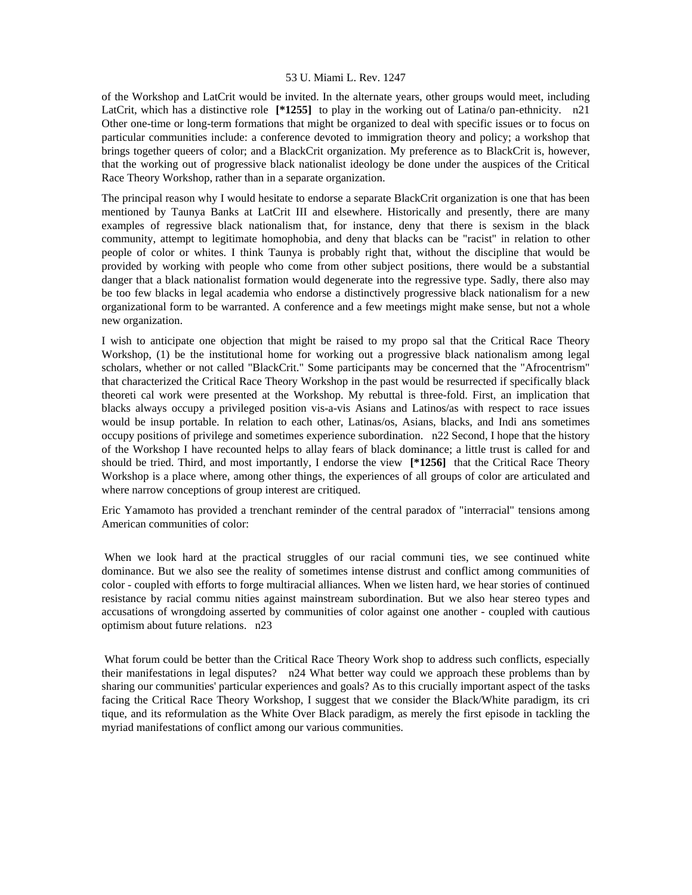of the Workshop and LatCrit would be invited. In the alternate years, other groups would meet, including LatCrit, which has a distinctive role **[\*1255]** to play in the working out of Latina/o pan-ethnicity. n21 Other one-time or long-term formations that might be organized to deal with specific issues or to focus on particular communities include: a conference devoted to immigration theory and policy; a workshop that brings together queers of color; and a BlackCrit organization. My preference as to BlackCrit is, however, that the working out of progressive black nationalist ideology be done under the auspices of the Critical Race Theory Workshop, rather than in a separate organization.

The principal reason why I would hesitate to endorse a separate BlackCrit organization is one that has been mentioned by Taunya Banks at LatCrit III and elsewhere. Historically and presently, there are many examples of regressive black nationalism that, for instance, deny that there is sexism in the black community, attempt to legitimate homophobia, and deny that blacks can be "racist" in relation to other people of color or whites. I think Taunya is probably right that, without the discipline that would be provided by working with people who come from other subject positions, there would be a substantial danger that a black nationalist formation would degenerate into the regressive type. Sadly, there also may be too few blacks in legal academia who endorse a distinctively progressive black nationalism for a new organizational form to be warranted. A conference and a few meetings might make sense, but not a whole new organization.

I wish to anticipate one objection that might be raised to my propo sal that the Critical Race Theory Workshop, (1) be the institutional home for working out a progressive black nationalism among legal scholars, whether or not called "BlackCrit." Some participants may be concerned that the "Afrocentrism" that characterized the Critical Race Theory Workshop in the past would be resurrected if specifically black theoreti cal work were presented at the Workshop. My rebuttal is three-fold. First, an implication that blacks always occupy a privileged position vis-a-vis Asians and Latinos/as with respect to race issues would be insup portable. In relation to each other, Latinas/os, Asians, blacks, and Indi ans sometimes occupy positions of privilege and sometimes experience subordination. n22 Second, I hope that the history of the Workshop I have recounted helps to allay fears of black dominance; a little trust is called for and should be tried. Third, and most importantly, I endorse the view **[\*1256]** that the Critical Race Theory Workshop is a place where, among other things, the experiences of all groups of color are articulated and where narrow conceptions of group interest are critiqued.

Eric Yamamoto has provided a trenchant reminder of the central paradox of "interracial" tensions among American communities of color:

When we look hard at the practical struggles of our racial communi ties, we see continued white dominance. But we also see the reality of sometimes intense distrust and conflict among communities of color - coupled with efforts to forge multiracial alliances. When we listen hard, we hear stories of continued resistance by racial commu nities against mainstream subordination. But we also hear stereo types and accusations of wrongdoing asserted by communities of color against one another - coupled with cautious optimism about future relations. n23

What forum could be better than the Critical Race Theory Work shop to address such conflicts, especially their manifestations in legal disputes? n24 What better way could we approach these problems than by sharing our communities' particular experiences and goals? As to this crucially important aspect of the tasks facing the Critical Race Theory Workshop, I suggest that we consider the Black/White paradigm, its cri tique, and its reformulation as the White Over Black paradigm, as merely the first episode in tackling the myriad manifestations of conflict among our various communities.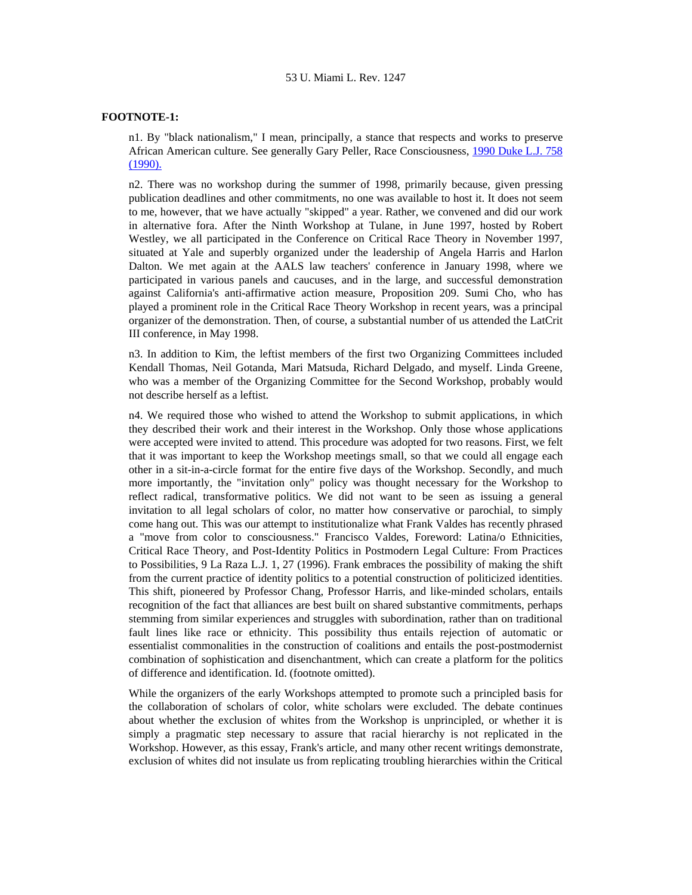# **FOOTNOTE-1:**

n1. By "black nationalism," I mean, principally, a stance that respects and works to preserve African American culture. See generally Gary Peller, Race Consciousness, [1990 Duke L.J. 758](http://www.lexis.com/research/xlink?searchtype=get&search=1990%20Duke%20L.J.%20758)  [\(1990\).](http://www.lexis.com/research/xlink?searchtype=get&search=1990%20Duke%20L.J.%20758)

n2. There was no workshop during the summer of 1998, primarily because, given pressing publication deadlines and other commitments, no one was available to host it. It does not seem to me, however, that we have actually "skipped" a year. Rather, we convened and did our work in alternative fora. After the Ninth Workshop at Tulane, in June 1997, hosted by Robert Westley, we all participated in the Conference on Critical Race Theory in November 1997, situated at Yale and superbly organized under the leadership of Angela Harris and Harlon Dalton. We met again at the AALS law teachers' conference in January 1998, where we participated in various panels and caucuses, and in the large, and successful demonstration against California's anti-affirmative action measure, Proposition 209. Sumi Cho, who has played a prominent role in the Critical Race Theory Workshop in recent years, was a principal organizer of the demonstration. Then, of course, a substantial number of us attended the LatCrit III conference, in May 1998.

n3. In addition to Kim, the leftist members of the first two Organizing Committees included Kendall Thomas, Neil Gotanda, Mari Matsuda, Richard Delgado, and myself. Linda Greene, who was a member of the Organizing Committee for the Second Workshop, probably would not describe herself as a leftist.

n4. We required those who wished to attend the Workshop to submit applications, in which they described their work and their interest in the Workshop. Only those whose applications were accepted were invited to attend. This procedure was adopted for two reasons. First, we felt that it was important to keep the Workshop meetings small, so that we could all engage each other in a sit-in-a-circle format for the entire five days of the Workshop. Secondly, and much more importantly, the "invitation only" policy was thought necessary for the Workshop to reflect radical, transformative politics. We did not want to be seen as issuing a general invitation to all legal scholars of color, no matter how conservative or parochial, to simply come hang out. This was our attempt to institutionalize what Frank Valdes has recently phrased a "move from color to consciousness." Francisco Valdes, Foreword: Latina/o Ethnicities, Critical Race Theory, and Post-Identity Politics in Postmodern Legal Culture: From Practices to Possibilities, 9 La Raza L.J. 1, 27 (1996). Frank embraces the possibility of making the shift from the current practice of identity politics to a potential construction of politicized identities. This shift, pioneered by Professor Chang, Professor Harris, and like-minded scholars, entails recognition of the fact that alliances are best built on shared substantive commitments, perhaps stemming from similar experiences and struggles with subordination, rather than on traditional fault lines like race or ethnicity. This possibility thus entails rejection of automatic or essentialist commonalities in the construction of coalitions and entails the post-postmodernist combination of sophistication and disenchantment, which can create a platform for the politics of difference and identification. Id. (footnote omitted).

While the organizers of the early Workshops attempted to promote such a principled basis for the collaboration of scholars of color, white scholars were excluded. The debate continues about whether the exclusion of whites from the Workshop is unprincipled, or whether it is simply a pragmatic step necessary to assure that racial hierarchy is not replicated in the Workshop. However, as this essay, Frank's article, and many other recent writings demonstrate, exclusion of whites did not insulate us from replicating troubling hierarchies within the Critical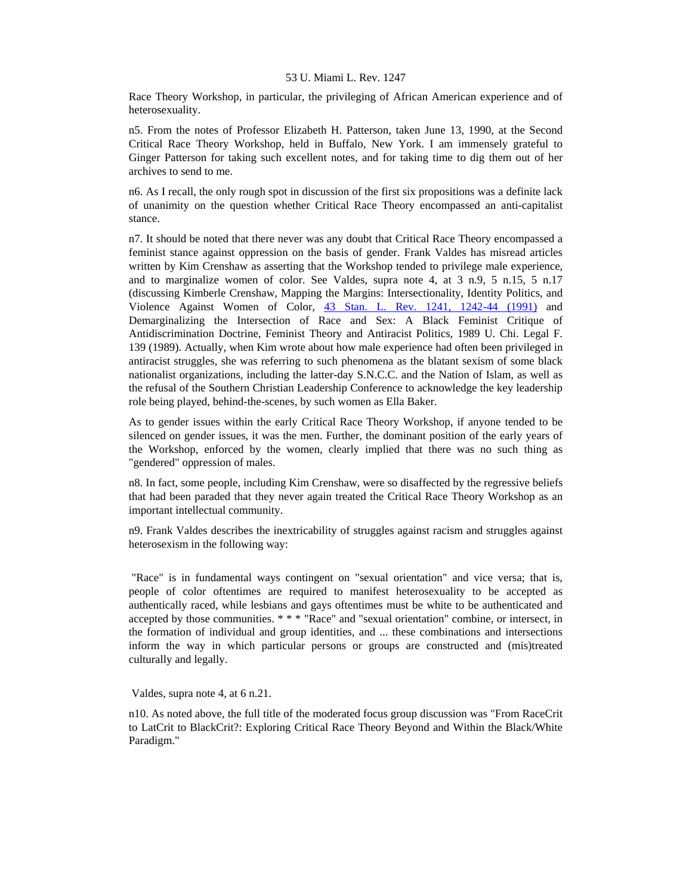Race Theory Workshop, in particular, the privileging of African American experience and of heterosexuality.

n5. From the notes of Professor Elizabeth H. Patterson, taken June 13, 1990, at the Second Critical Race Theory Workshop, held in Buffalo, New York. I am immensely grateful to Ginger Patterson for taking such excellent notes, and for taking time to dig them out of her archives to send to me.

n6. As I recall, the only rough spot in discussion of the first six propositions was a definite lack of unanimity on the question whether Critical Race Theory encompassed an anti-capitalist stance.

n7. It should be noted that there never was any doubt that Critical Race Theory encompassed a feminist stance against oppression on the basis of gender. Frank Valdes has misread articles written by Kim Crenshaw as asserting that the Workshop tended to privilege male experience, and to marginalize women of color. See Valdes, supra note 4, at 3 n.9, 5 n.15, 5 n.17 (discussing Kimberle Crenshaw, Mapping the Margins: Intersectionality, Identity Politics, and Violence Against Women of Color, [43 Stan. L. Rev. 1241, 1242-44 \(1991\)](http://www.lexis.com/research/xlink?searchtype=get&search=43%20Stan.%20L.%20Rev.%201241,at%201242) and Demarginalizing the Intersection of Race and Sex: A Black Feminist Critique of Antidiscrimination Doctrine, Feminist Theory and Antiracist Politics, 1989 U. Chi. Legal F. 139 (1989). Actually, when Kim wrote about how male experience had often been privileged in antiracist struggles, she was referring to such phenomena as the blatant sexism of some black nationalist organizations, including the latter-day S.N.C.C. and the Nation of Islam, as well as the refusal of the Southern Christian Leadership Conference to acknowledge the key leadership role being played, behind-the-scenes, by such women as Ella Baker.

As to gender issues within the early Critical Race Theory Workshop, if anyone tended to be silenced on gender issues, it was the men. Further, the dominant position of the early years of the Workshop, enforced by the women, clearly implied that there was no such thing as "gendered" oppression of males.

n8. In fact, some people, including Kim Crenshaw, were so disaffected by the regressive beliefs that had been paraded that they never again treated the Critical Race Theory Workshop as an important intellectual community.

n9. Frank Valdes describes the inextricability of struggles against racism and struggles against heterosexism in the following way:

 "Race" is in fundamental ways contingent on "sexual orientation" and vice versa; that is, people of color oftentimes are required to manifest heterosexuality to be accepted as authentically raced, while lesbians and gays oftentimes must be white to be authenticated and accepted by those communities. \* \* \* "Race" and "sexual orientation" combine, or intersect, in the formation of individual and group identities, and ... these combinations and intersections inform the way in which particular persons or groups are constructed and (mis)treated culturally and legally.

Valdes, supra note 4, at 6 n.21.

n10. As noted above, the full title of the moderated focus group discussion was "From RaceCrit to LatCrit to BlackCrit?: Exploring Critical Race Theory Beyond and Within the Black/White Paradigm."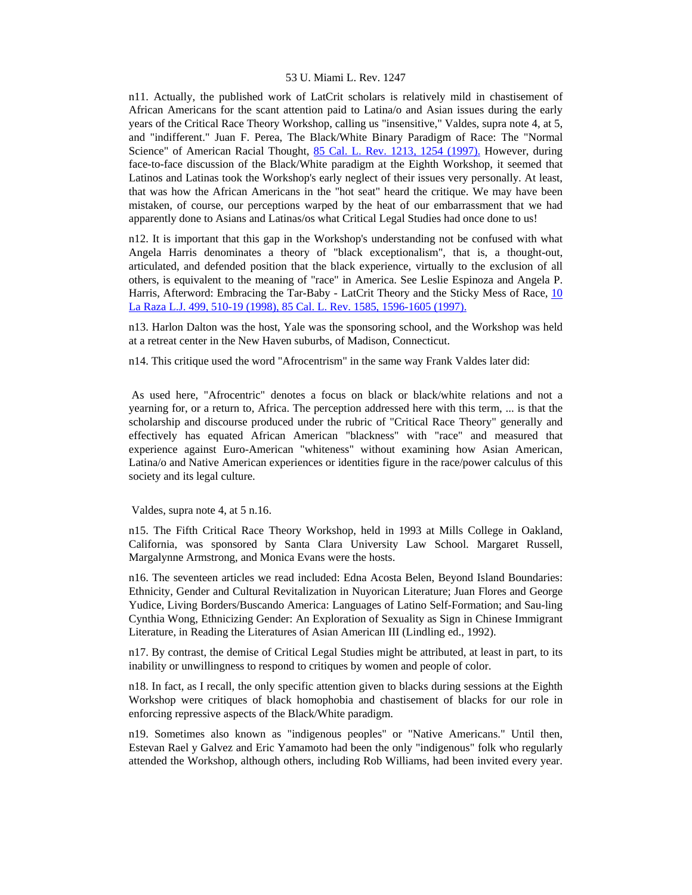n11. Actually, the published work of LatCrit scholars is relatively mild in chastisement of African Americans for the scant attention paid to Latina/o and Asian issues during the early years of the Critical Race Theory Workshop, calling us "insensitive," Valdes, supra note 4, at 5, and "indifferent." Juan F. Perea, The Black/White Binary Paradigm of Race: The "Normal Science" of American Racial Thought, [85 Cal. L. Rev. 1213, 1254 \(1997\).](http://www.lexis.com/research/xlink?searchtype=get&search=85%20Calif.%20L.%20Rev.%201213,at%201254) However, during face-to-face discussion of the Black/White paradigm at the Eighth Workshop, it seemed that Latinos and Latinas took the Workshop's early neglect of their issues very personally. At least, that was how the African Americans in the "hot seat" heard the critique. We may have been mistaken, of course, our perceptions warped by the heat of our embarrassment that we had apparently done to Asians and Latinas/os what Critical Legal Studies had once done to us!

n12. It is important that this gap in the Workshop's understanding not be confused with what Angela Harris denominates a theory of "black exceptionalism", that is, a thought-out, articulated, and defended position that the black experience, virtually to the exclusion of all others, is equivalent to the meaning of "race" in America. See Leslie Espinoza and Angela P. Harris, Afterword: Embracing the Tar-Baby - LatCrit Theory and the Sticky Mess of Race, [10](http://www.lexis.com/research/xlink?searchtype=get&search=10%20La%20Raza%20L.J.%20499,at%20510)  [La Raza L.J. 499, 510-19 \(1998\), 85 Cal. L. Rev. 1585, 1596-1605 \(1997\).](http://www.lexis.com/research/xlink?searchtype=get&search=10%20La%20Raza%20L.J.%20499,at%20510)

n13. Harlon Dalton was the host, Yale was the sponsoring school, and the Workshop was held at a retreat center in the New Haven suburbs, of Madison, Connecticut.

n14. This critique used the word "Afrocentrism" in the same way Frank Valdes later did:

 As used here, "Afrocentric" denotes a focus on black or black/white relations and not a yearning for, or a return to, Africa. The perception addressed here with this term, ... is that the scholarship and discourse produced under the rubric of "Critical Race Theory" generally and effectively has equated African American "blackness" with "race" and measured that experience against Euro-American "whiteness" without examining how Asian American, Latina/o and Native American experiences or identities figure in the race/power calculus of this society and its legal culture.

Valdes, supra note 4, at 5 n.16.

n15. The Fifth Critical Race Theory Workshop, held in 1993 at Mills College in Oakland, California, was sponsored by Santa Clara University Law School. Margaret Russell, Margalynne Armstrong, and Monica Evans were the hosts.

n16. The seventeen articles we read included: Edna Acosta Belen, Beyond Island Boundaries: Ethnicity, Gender and Cultural Revitalization in Nuyorican Literature; Juan Flores and George Yudice, Living Borders/Buscando America: Languages of Latino Self-Formation; and Sau-ling Cynthia Wong, Ethnicizing Gender: An Exploration of Sexuality as Sign in Chinese Immigrant Literature, in Reading the Literatures of Asian American III (Lindling ed., 1992).

n17. By contrast, the demise of Critical Legal Studies might be attributed, at least in part, to its inability or unwillingness to respond to critiques by women and people of color.

n18. In fact, as I recall, the only specific attention given to blacks during sessions at the Eighth Workshop were critiques of black homophobia and chastisement of blacks for our role in enforcing repressive aspects of the Black/White paradigm.

n19. Sometimes also known as "indigenous peoples" or "Native Americans." Until then, Estevan Rael y Galvez and Eric Yamamoto had been the only "indigenous" folk who regularly attended the Workshop, although others, including Rob Williams, had been invited every year.